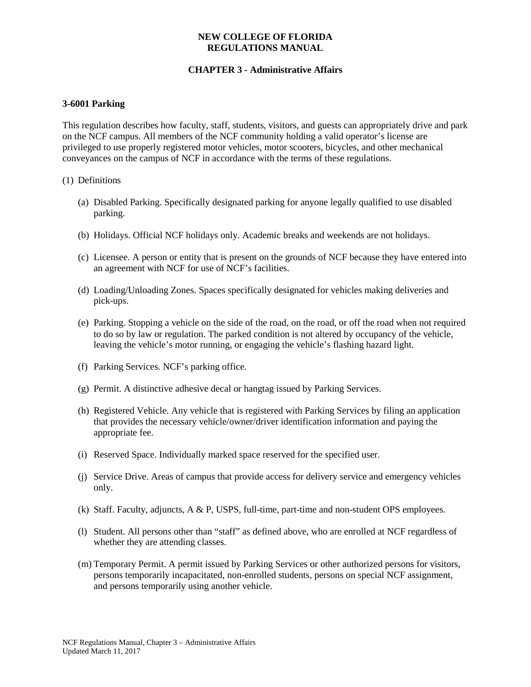# **CHAPTER 3 - Administrative Affairs**

#### **3-6001 Parking**

This regulation describes how faculty, staff, students, visitors, and guests can appropriately drive and park on the NCF campus. All members of the NCF community holding a valid operator's license are privileged to use properly registered motor vehicles, motor scooters, bicycles, and other mechanical conveyances on the campus of NCF in accordance with the terms of these regulations.

#### (1) Definitions

- (a) Disabled Parking. Specifically designated parking for anyone legally qualified to use disabled parking.
- (b) Holidays. Official NCF holidays only. Academic breaks and weekends are not holidays.
- (c) Licensee. A person or entity that is present on the grounds of NCF because they have entered into an agreement with NCF for use of NCF's facilities.
- (d) Loading/Unloading Zones. Spaces specifically designated for vehicles making deliveries and pick-ups.
- (e) Parking. Stopping a vehicle on the side of the road, on the road, or off the road when not required to do so by law or regulation. The parked condition is not altered by occupancy of the vehicle, leaving the vehicle's motor running, or engaging the vehicle's flashing hazard light.
- (f) Parking Services. NCF's parking office.
- (g) Permit. A distinctive adhesive decal or hangtag issued by Parking Services.
- (h) Registered Vehicle. Any vehicle that is registered with Parking Services by filing an application that provides the necessary vehicle/owner/driver identification information and paying the appropriate fee.
- (i) Reserved Space. Individually marked space reserved for the specified user.
- (j) Service Drive. Areas of campus that provide access for delivery service and emergency vehicles only.
- (k) Staff. Faculty, adjuncts, A & P, USPS, full-time, part-time and non-student OPS employees.
- (l) Student. All persons other than "staff" as defined above, who are enrolled at NCF regardless of whether they are attending classes.
- (m) Temporary Permit. A permit issued by Parking Services or other authorized persons for visitors, persons temporarily incapacitated, non-enrolled students, persons on special NCF assignment, and persons temporarily using another vehicle.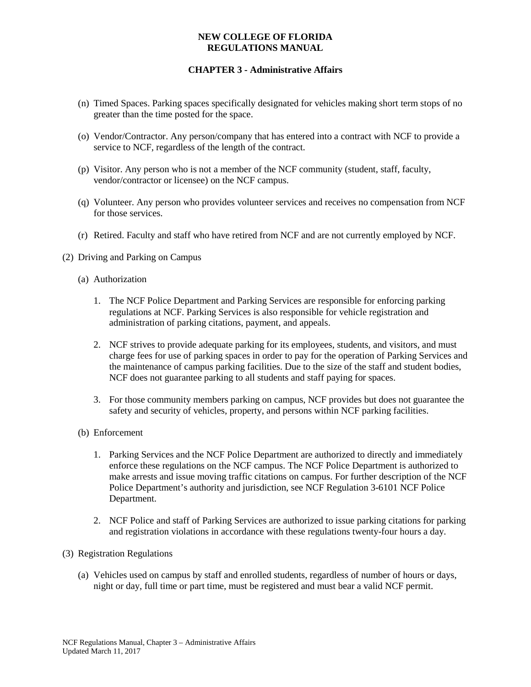- (n) Timed Spaces. Parking spaces specifically designated for vehicles making short term stops of no greater than the time posted for the space.
- (o) Vendor/Contractor. Any person/company that has entered into a contract with NCF to provide a service to NCF, regardless of the length of the contract.
- (p) Visitor. Any person who is not a member of the NCF community (student, staff, faculty, vendor/contractor or licensee) on the NCF campus.
- (q) Volunteer. Any person who provides volunteer services and receives no compensation from NCF for those services.
- (r) Retired. Faculty and staff who have retired from NCF and are not currently employed by NCF.
- (2) Driving and Parking on Campus
	- (a) Authorization
		- 1. The NCF Police Department and Parking Services are responsible for enforcing parking regulations at NCF. Parking Services is also responsible for vehicle registration and administration of parking citations, payment, and appeals.
		- 2. NCF strives to provide adequate parking for its employees, students, and visitors, and must charge fees for use of parking spaces in order to pay for the operation of Parking Services and the maintenance of campus parking facilities. Due to the size of the staff and student bodies, NCF does not guarantee parking to all students and staff paying for spaces.
		- 3. For those community members parking on campus, NCF provides but does not guarantee the safety and security of vehicles, property, and persons within NCF parking facilities.
	- (b) Enforcement
		- 1. Parking Services and the NCF Police Department are authorized to directly and immediately enforce these regulations on the NCF campus. The NCF Police Department is authorized to make arrests and issue moving traffic citations on campus. For further description of the NCF Police Department's authority and jurisdiction, see NCF Regulation 3-6101 NCF Police Department.
		- 2. NCF Police and staff of Parking Services are authorized to issue parking citations for parking and registration violations in accordance with these regulations twenty-four hours a day.
- (3) Registration Regulations
	- (a) Vehicles used on campus by staff and enrolled students, regardless of number of hours or days, night or day, full time or part time, must be registered and must bear a valid NCF permit.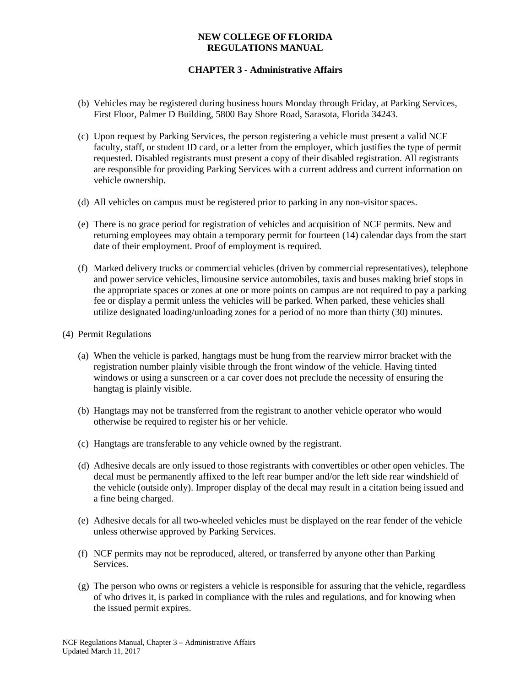# **CHAPTER 3 - Administrative Affairs**

- (b) Vehicles may be registered during business hours Monday through Friday, at Parking Services, First Floor, Palmer D Building, 5800 Bay Shore Road, Sarasota, Florida 34243.
- (c) Upon request by Parking Services, the person registering a vehicle must present a valid NCF faculty, staff, or student ID card, or a letter from the employer, which justifies the type of permit requested. Disabled registrants must present a copy of their disabled registration. All registrants are responsible for providing Parking Services with a current address and current information on vehicle ownership.
- (d) All vehicles on campus must be registered prior to parking in any non-visitor spaces.
- (e) There is no grace period for registration of vehicles and acquisition of NCF permits. New and returning employees may obtain a temporary permit for fourteen (14) calendar days from the start date of their employment. Proof of employment is required.
- (f) Marked delivery trucks or commercial vehicles (driven by commercial representatives), telephone and power service vehicles, limousine service automobiles, taxis and buses making brief stops in the appropriate spaces or zones at one or more points on campus are not required to pay a parking fee or display a permit unless the vehicles will be parked. When parked, these vehicles shall utilize designated loading/unloading zones for a period of no more than thirty (30) minutes.

### (4) Permit Regulations

- (a) When the vehicle is parked, hangtags must be hung from the rearview mirror bracket with the registration number plainly visible through the front window of the vehicle. Having tinted windows or using a sunscreen or a car cover does not preclude the necessity of ensuring the hangtag is plainly visible.
- (b) Hangtags may not be transferred from the registrant to another vehicle operator who would otherwise be required to register his or her vehicle.
- (c) Hangtags are transferable to any vehicle owned by the registrant.
- (d) Adhesive decals are only issued to those registrants with convertibles or other open vehicles. The decal must be permanently affixed to the left rear bumper and/or the left side rear windshield of the vehicle (outside only). Improper display of the decal may result in a citation being issued and a fine being charged.
- (e) Adhesive decals for all two-wheeled vehicles must be displayed on the rear fender of the vehicle unless otherwise approved by Parking Services.
- (f) NCF permits may not be reproduced, altered, or transferred by anyone other than Parking Services.
- (g) The person who owns or registers a vehicle is responsible for assuring that the vehicle, regardless of who drives it, is parked in compliance with the rules and regulations, and for knowing when the issued permit expires.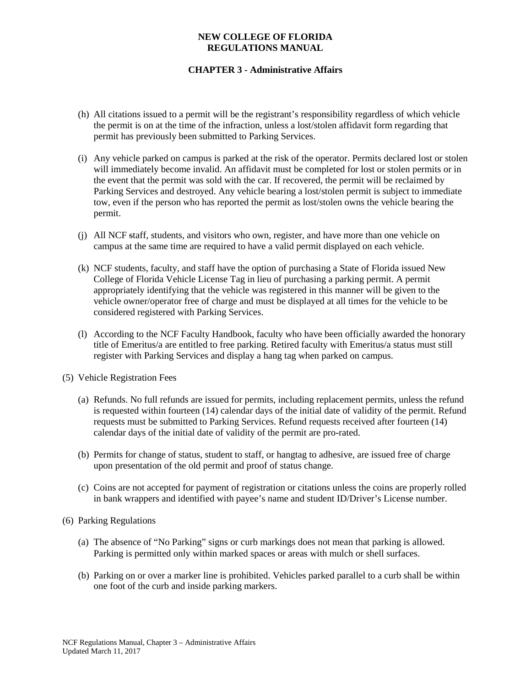- (h) All citations issued to a permit will be the registrant's responsibility regardless of which vehicle the permit is on at the time of the infraction, unless a lost/stolen affidavit form regarding that permit has previously been submitted to Parking Services.
- (i) Any vehicle parked on campus is parked at the risk of the operator. Permits declared lost or stolen will immediately become invalid. An affidavit must be completed for lost or stolen permits or in the event that the permit was sold with the car. If recovered, the permit will be reclaimed by Parking Services and destroyed. Any vehicle bearing a lost/stolen permit is subject to immediate tow, even if the person who has reported the permit as lost/stolen owns the vehicle bearing the permit.
- (j) All NCF staff, students, and visitors who own, register, and have more than one vehicle on campus at the same time are required to have a valid permit displayed on each vehicle.
- (k) NCF students, faculty, and staff have the option of purchasing a State of Florida issued New College of Florida Vehicle License Tag in lieu of purchasing a parking permit. A permit appropriately identifying that the vehicle was registered in this manner will be given to the vehicle owner/operator free of charge and must be displayed at all times for the vehicle to be considered registered with Parking Services.
- (l) According to the NCF Faculty Handbook, faculty who have been officially awarded the honorary title of Emeritus/a are entitled to free parking. Retired faculty with Emeritus/a status must still register with Parking Services and display a hang tag when parked on campus.
- (5) Vehicle Registration Fees
	- (a) Refunds. No full refunds are issued for permits, including replacement permits, unless the refund is requested within fourteen (14) calendar days of the initial date of validity of the permit. Refund requests must be submitted to Parking Services. Refund requests received after fourteen (14) calendar days of the initial date of validity of the permit are pro-rated.
	- (b) Permits for change of status, student to staff, or hangtag to adhesive, are issued free of charge upon presentation of the old permit and proof of status change.
	- (c) Coins are not accepted for payment of registration or citations unless the coins are properly rolled in bank wrappers and identified with payee's name and student ID/Driver's License number.
- (6) Parking Regulations
	- (a) The absence of "No Parking" signs or curb markings does not mean that parking is allowed. Parking is permitted only within marked spaces or areas with mulch or shell surfaces.
	- (b) Parking on or over a marker line is prohibited. Vehicles parked parallel to a curb shall be within one foot of the curb and inside parking markers.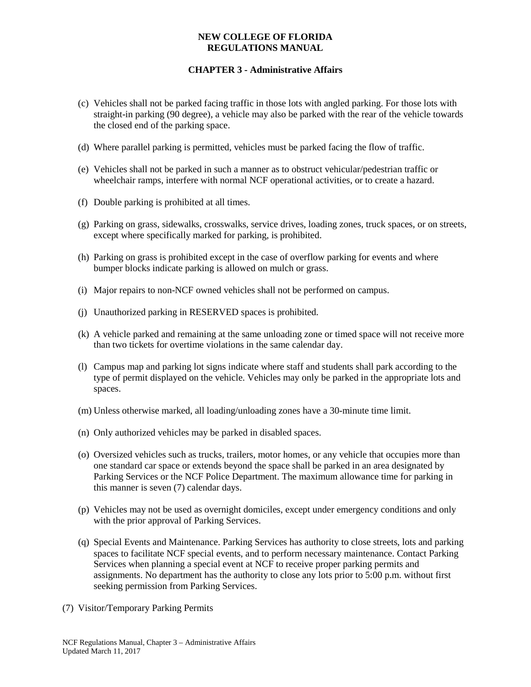- (c) Vehicles shall not be parked facing traffic in those lots with angled parking. For those lots with straight-in parking (90 degree), a vehicle may also be parked with the rear of the vehicle towards the closed end of the parking space.
- (d) Where parallel parking is permitted, vehicles must be parked facing the flow of traffic.
- (e) Vehicles shall not be parked in such a manner as to obstruct vehicular/pedestrian traffic or wheelchair ramps, interfere with normal NCF operational activities, or to create a hazard.
- (f) Double parking is prohibited at all times.
- (g) Parking on grass, sidewalks, crosswalks, service drives, loading zones, truck spaces, or on streets, except where specifically marked for parking, is prohibited.
- (h) Parking on grass is prohibited except in the case of overflow parking for events and where bumper blocks indicate parking is allowed on mulch or grass.
- (i) Major repairs to non-NCF owned vehicles shall not be performed on campus.
- (j) Unauthorized parking in RESERVED spaces is prohibited.
- (k) A vehicle parked and remaining at the same unloading zone or timed space will not receive more than two tickets for overtime violations in the same calendar day.
- (l) Campus map and parking lot signs indicate where staff and students shall park according to the type of permit displayed on the vehicle. Vehicles may only be parked in the appropriate lots and spaces.
- (m) Unless otherwise marked, all loading/unloading zones have a 30-minute time limit.
- (n) Only authorized vehicles may be parked in disabled spaces.
- (o) Oversized vehicles such as trucks, trailers, motor homes, or any vehicle that occupies more than one standard car space or extends beyond the space shall be parked in an area designated by Parking Services or the NCF Police Department. The maximum allowance time for parking in this manner is seven (7) calendar days.
- (p) Vehicles may not be used as overnight domiciles, except under emergency conditions and only with the prior approval of Parking Services.
- (q) Special Events and Maintenance. Parking Services has authority to close streets, lots and parking spaces to facilitate NCF special events, and to perform necessary maintenance. Contact Parking Services when planning a special event at NCF to receive proper parking permits and assignments. No department has the authority to close any lots prior to 5:00 p.m. without first seeking permission from Parking Services.
- (7) Visitor/Temporary Parking Permits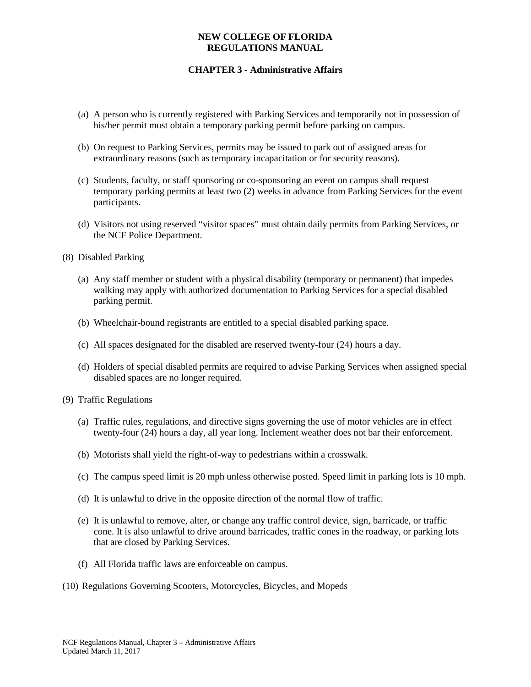- (a) A person who is currently registered with Parking Services and temporarily not in possession of his/her permit must obtain a temporary parking permit before parking on campus.
- (b) On request to Parking Services, permits may be issued to park out of assigned areas for extraordinary reasons (such as temporary incapacitation or for security reasons).
- (c) Students, faculty, or staff sponsoring or co-sponsoring an event on campus shall request temporary parking permits at least two (2) weeks in advance from Parking Services for the event participants.
- (d) Visitors not using reserved "visitor spaces" must obtain daily permits from Parking Services, or the NCF Police Department.
- (8) Disabled Parking
	- (a) Any staff member or student with a physical disability (temporary or permanent) that impedes walking may apply with authorized documentation to Parking Services for a special disabled parking permit.
	- (b) Wheelchair-bound registrants are entitled to a special disabled parking space.
	- (c) All spaces designated for the disabled are reserved twenty-four (24) hours a day.
	- (d) Holders of special disabled permits are required to advise Parking Services when assigned special disabled spaces are no longer required.
- (9) Traffic Regulations
	- (a) Traffic rules, regulations, and directive signs governing the use of motor vehicles are in effect twenty-four (24) hours a day, all year long. Inclement weather does not bar their enforcement.
	- (b) Motorists shall yield the right-of-way to pedestrians within a crosswalk.
	- (c) The campus speed limit is 20 mph unless otherwise posted. Speed limit in parking lots is 10 mph.
	- (d) It is unlawful to drive in the opposite direction of the normal flow of traffic.
	- (e) It is unlawful to remove, alter, or change any traffic control device, sign, barricade, or traffic cone. It is also unlawful to drive around barricades, traffic cones in the roadway, or parking lots that are closed by Parking Services.
	- (f) All Florida traffic laws are enforceable on campus.
- (10) Regulations Governing Scooters, Motorcycles, Bicycles, and Mopeds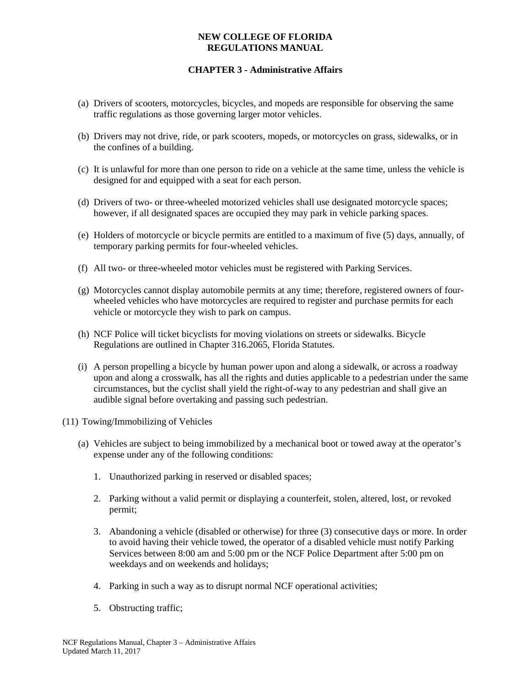- (a) Drivers of scooters, motorcycles, bicycles, and mopeds are responsible for observing the same traffic regulations as those governing larger motor vehicles.
- (b) Drivers may not drive, ride, or park scooters, mopeds, or motorcycles on grass, sidewalks, or in the confines of a building.
- (c) It is unlawful for more than one person to ride on a vehicle at the same time, unless the vehicle is designed for and equipped with a seat for each person.
- (d) Drivers of two- or three-wheeled motorized vehicles shall use designated motorcycle spaces; however, if all designated spaces are occupied they may park in vehicle parking spaces.
- (e) Holders of motorcycle or bicycle permits are entitled to a maximum of five (5) days, annually, of temporary parking permits for four-wheeled vehicles.
- (f) All two- or three-wheeled motor vehicles must be registered with Parking Services.
- (g) Motorcycles cannot display automobile permits at any time; therefore, registered owners of fourwheeled vehicles who have motorcycles are required to register and purchase permits for each vehicle or motorcycle they wish to park on campus.
- (h) NCF Police will ticket bicyclists for moving violations on streets or sidewalks. Bicycle Regulations are outlined in Chapter 316.2065, Florida Statutes.
- (i) A person propelling a bicycle by human power upon and along a sidewalk, or across a roadway upon and along a crosswalk, has all the rights and duties applicable to a pedestrian under the same circumstances, but the cyclist shall yield the right-of-way to any pedestrian and shall give an audible signal before overtaking and passing such pedestrian.
- (11) Towing/Immobilizing of Vehicles
	- (a) Vehicles are subject to being immobilized by a mechanical boot or towed away at the operator's expense under any of the following conditions:
		- 1. Unauthorized parking in reserved or disabled spaces;
		- 2. Parking without a valid permit or displaying a counterfeit, stolen, altered, lost, or revoked permit;
		- 3. Abandoning a vehicle (disabled or otherwise) for three (3) consecutive days or more. In order to avoid having their vehicle towed, the operator of a disabled vehicle must notify Parking Services between 8:00 am and 5:00 pm or the NCF Police Department after 5:00 pm on weekdays and on weekends and holidays;
		- 4. Parking in such a way as to disrupt normal NCF operational activities;
		- 5. Obstructing traffic;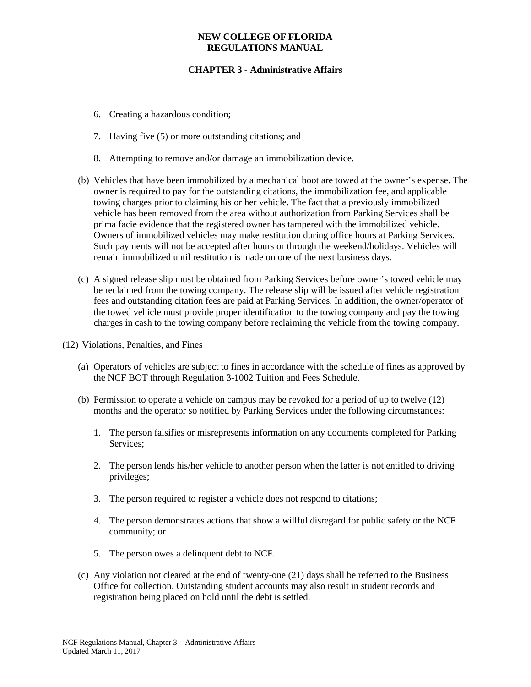- 6. Creating a hazardous condition;
- 7. Having five (5) or more outstanding citations; and
- 8. Attempting to remove and/or damage an immobilization device.
- (b) Vehicles that have been immobilized by a mechanical boot are towed at the owner's expense. The owner is required to pay for the outstanding citations, the immobilization fee, and applicable towing charges prior to claiming his or her vehicle. The fact that a previously immobilized vehicle has been removed from the area without authorization from Parking Services shall be prima facie evidence that the registered owner has tampered with the immobilized vehicle. Owners of immobilized vehicles may make restitution during office hours at Parking Services. Such payments will not be accepted after hours or through the weekend/holidays. Vehicles will remain immobilized until restitution is made on one of the next business days.
- (c) A signed release slip must be obtained from Parking Services before owner's towed vehicle may be reclaimed from the towing company. The release slip will be issued after vehicle registration fees and outstanding citation fees are paid at Parking Services. In addition, the owner/operator of the towed vehicle must provide proper identification to the towing company and pay the towing charges in cash to the towing company before reclaiming the vehicle from the towing company.
- (12) Violations, Penalties, and Fines
	- (a) Operators of vehicles are subject to fines in accordance with the schedule of fines as approved by the NCF BOT through Regulation 3-1002 Tuition and Fees Schedule.
	- (b) Permission to operate a vehicle on campus may be revoked for a period of up to twelve (12) months and the operator so notified by Parking Services under the following circumstances:
		- 1. The person falsifies or misrepresents information on any documents completed for Parking Services:
		- 2. The person lends his/her vehicle to another person when the latter is not entitled to driving privileges;
		- 3. The person required to register a vehicle does not respond to citations;
		- 4. The person demonstrates actions that show a willful disregard for public safety or the NCF community; or
		- 5. The person owes a delinquent debt to NCF.
	- (c) Any violation not cleared at the end of twenty-one (21) days shall be referred to the Business Office for collection. Outstanding student accounts may also result in student records and registration being placed on hold until the debt is settled.